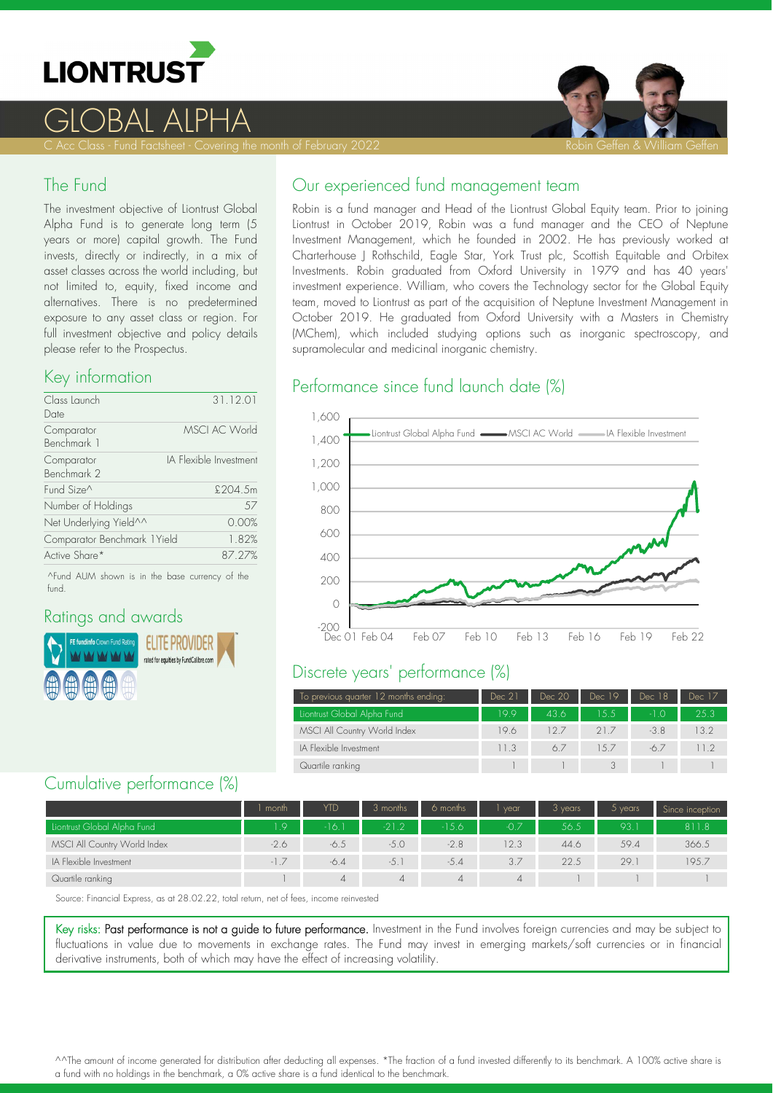

# $\bigcap$ rai

#### The Fund

The investment objective of Liontrust Global Alpha Fund is to generate long term (5 years or more) capital growth. The Fund invests, directly or indirectly, in a mix of asset classes across the world including, but not limited to, equity, fixed income and alternatives. There is no predetermined exposure to any asset class or region. For full investment objective and policy details please refer to the Prospectus.

#### Key information

| Class Launch                | 31.12.01               |
|-----------------------------|------------------------|
| Date                        |                        |
| Comparator                  | <b>MSCI AC World</b>   |
| Benchmark 1                 |                        |
| Comparator                  | IA Flexible Investment |
| Benchmark 2                 |                        |
| Fund Size <sup>^</sup>      | £204.5m                |
| Number of Holdings          | 57                     |
| Net Underlying Yield^^      | 0.00%                  |
| Comparator Benchmark 1Yield | 1.82%                  |
| Active Share*               | 87.27%                 |
|                             |                        |

^Fund AUM shown is in the base currency of the fund.

### Ratings and awards



## Our experienced fund management team

Robin is a fund manager and Head of the Liontrust Global Equity team. Prior to joining Liontrust in October 2019, Robin was a fund manager and the CEO of Neptune Investment Management, which he founded in 2002. He has previously worked at Charterhouse J Rothschild, Eagle Star, York Trust plc, Scottish Equitable and Orbitex Investments. Robin graduated from Oxford University in 1979 and has 40 years' investment experience. William, who covers the Technology sector for the Global Equity team, moved to Liontrust as part of the acquisition of Neptune Investment Management in October 2019. He graduated from Oxford University with a Masters in Chemistry (MChem), which included studying options such as inorganic spectroscopy, and supramolecular and medicinal inorganic chemistry.

#### Performance since fund launch date (%)



### Discrete years' performance (%)

| To previous quarter 12 months ending: | Dec 21 | Dec 20 | Dec 19 | Dec 18 | Dec 17 |
|---------------------------------------|--------|--------|--------|--------|--------|
| Liontrust Global Alpha Fund           | 199    | 436    | 15.5   | -1 O   | 25.3   |
| MSCI All Country World Index          | 19.6   | 127    | 21.7   | $-3.8$ | 13.2   |
| IA Flexible Investment                | 11.3   | 67     | 15.7   | -6.7   | 11.2   |
| Quartile ranking                      |        |        |        |        |        |

### Cumulative performance (%)

|                              | month  | YTD    | 3 months | 6 months | vear   | 3 years | $5$ years | Since inception |
|------------------------------|--------|--------|----------|----------|--------|---------|-----------|-----------------|
| Liontrust Global Alpha Fund  | L.9    | -16.1  | $-21.2$  | $-15.6$  | $-0.7$ | 56.5    | 93.       | 811.8           |
| MSCI All Country World Index | $-2.6$ | $-6.5$ | $-5.0$   | $-2.8$   | 12.3   | 44.6    | 59.4      | 366.5           |
| IA Flexible Investment       | $-17$  | $-6.4$ | $-5.1$   | $-5.4$   | 3.7    | 22.5    | 29.       | 195.7           |
| Quartile ranking             |        |        |          | 4        | 4      |         |           |                 |

Source: Financial Express, as at 28.02.22, total return, net of fees, income reinvested

Key risks: Past performance is not a guide to future performance. Investment in the Fund involves foreign currencies and may be subject to fluctuations in value due to movements in exchange rates. The Fund may invest in emerging markets/soft currencies or in financial derivative instruments, both of which may have the effect of increasing volatility.

^^The amount of income generated for distribution after deducting all expenses. \*The fraction of a fund invested differently to its benchmark. A 100% active share is a fund with no holdings in the benchmark, a 0% active share is a fund identical to the benchmark.